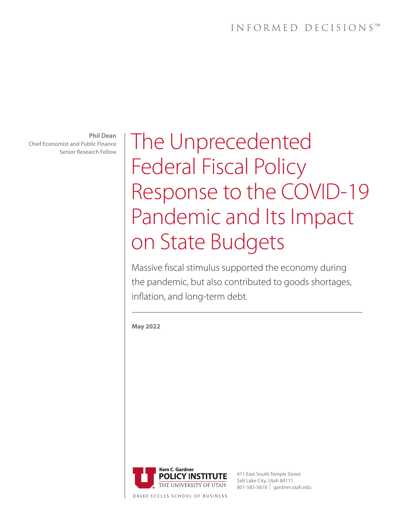**Phil Dean** Chief Economist and Public Finance Senior Research Fellow

The Unprecedented Federal Fiscal Policy Response to the COVID-19 Pandemic and Its Impact on State Budgets

Massive fiscal stimulus supported the economy during the pandemic, but also contributed to goods shortages, inflation, and long-term debt.

**May 2022** 

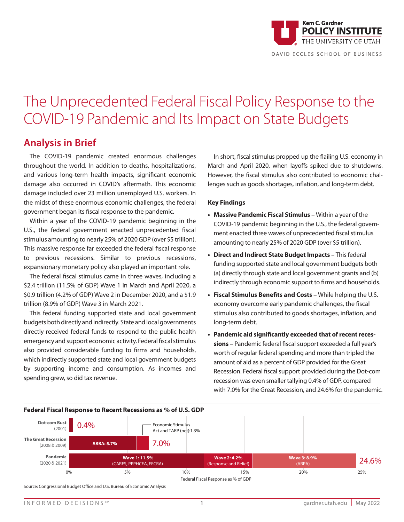

# The Unprecedented Federal Fiscal Policy Response to the COVID-19 Pandemic and Its Impact on State Budgets

### **Analysis in Brief**

The COVID-19 pandemic created enormous challenges throughout the world. In addition to deaths, hospitalizations, and various long-term health impacts, significant economic damage also occurred in COVID's aftermath. This economic damage included over 23 million unemployed U.S. workers. In the midst of these enormous economic challenges, the federal government began its fiscal response to the pandemic.

Within a year of the COVID-19 pandemic beginning in the U.S., the federal government enacted unprecedented fiscal stimulus amounting to nearly 25% of 2020 GDP (over \$5 trillion). This massive response far exceeded the federal fiscal response to previous recessions. Similar to previous recessions, expansionary monetary policy also played an important role.

The federal fiscal stimulus came in three waves, including a \$2.4 trillion (11.5% of GDP) Wave 1 in March and April 2020, a \$0.9 trillion (4.2% of GDP) Wave 2 in December 2020, and a \$1.9 trillion (8.9% of GDP) Wave 3 in March 2021.

This federal funding supported state and local government budgets both directly and indirectly. State and local governments directly received federal funds to respond to the public health emergency and support economic activity. Federal fiscal stimulus also provided considerable funding to firms and households, which indirectly supported state and local government budgets by supporting income and consumption. As incomes and spending grew, so did tax revenue.

In short, fiscal stimulus propped up the flailing U.S. economy in March and April 2020, when layoffs spiked due to shutdowns. However, the fiscal stimulus also contributed to economic challenges such as goods shortages, inflation, and long-term debt.

### **Key Findings**

- **• Massive Pandemic Fiscal Stimulus** Within a year of the COVID-19 pandemic beginning in the U.S., the federal government enacted three waves of unprecedented fiscal stimulus amounting to nearly 25% of 2020 GDP (over \$5 trillion).
- **• Direct and Indirect State Budget Impacts** This federal funding supported state and local government budgets both (a) directly through state and local government grants and (b) indirectly through economic support to firms and households.
- **• Fiscal Stimulus Benefits and Costs –** While helping the U.S. economy overcome early pandemic challenges, the fiscal stimulus also contributed to goods shortages, inflation, and long-term debt.
- **• Pandemic aid significantly exceeded that of recent recessions** – Pandemic federal fiscal support exceeded a full year's worth of regular federal spending and more than tripled the amount of aid as a percent of GDP provided for the Great Recession. Federal fiscal support provided during the Dot-com recession was even smaller tallying 0.4% of GDP, compared with 7.0% for the Great Recession, and 24.6% for the pandemic.



Source: Congressional Budget Office and U.S. Bureau of Economic Analysis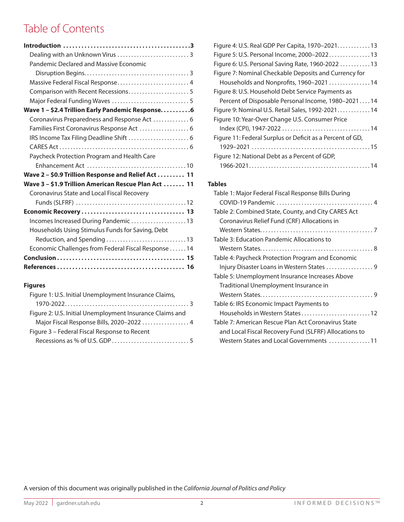# Table of Contents

| Pandemic Declared and Massive Economic               |
|------------------------------------------------------|
|                                                      |
| Massive Federal Fiscal Response 4                    |
|                                                      |
|                                                      |
| Wave 1 - \$2.4 Trillion Early Pandemic Response6     |
| Coronavirus Preparedness and Response Act  6         |
| Families First Coronavirus Response Act  6           |
|                                                      |
|                                                      |
| Paycheck Protection Program and Health Care          |
|                                                      |
| Wave 2 - \$0.9 Trillion Response and Relief Act  11  |
| Wave 3 - \$1.9 Trillion American Rescue Plan Act  11 |
| Coronavirus State and Local Fiscal Recovery          |
|                                                      |
|                                                      |
| Incomes Increased During Pandemic 13                 |
| Households Using Stimulus Funds for Saving, Debt     |
|                                                      |
| Economic Challenges from Federal Fiscal Response 14  |
|                                                      |
|                                                      |

### **Figures**

| Figure 1: U.S. Initial Unemployment Insurance Claims,    |
|----------------------------------------------------------|
|                                                          |
| Figure 2: U.S. Initial Unemployment Insurance Claims and |
| Major Fiscal Response Bills, 2020-2022  4                |
| Figure 3 - Federal Fiscal Response to Recent             |
|                                                          |

| Figure 4: U.S. Real GDP Per Capita, 1970-202113           |
|-----------------------------------------------------------|
| Figure 5: U.S. Personal Income, 2000-202213               |
| Figure 6: U.S. Personal Saving Rate, 1960-2022  13        |
| Figure 7: Nominal Checkable Deposits and Currency for     |
| Households and Nonprofits, 1960-2021 14                   |
| Figure 8: U.S. Household Debt Service Payments as         |
| Percent of Disposable Personal Income, 1980–202114        |
| Figure 9: Nominal U.S. Retail Sales, 1992-2021 14         |
| Figure 10: Year-Over Change U.S. Consumer Price           |
|                                                           |
| Figure 11: Federal Surplus or Deficit as a Percent of GD, |
|                                                           |
| Figure 12: National Debt as a Percent of GDP,             |
|                                                           |

### **Tables**

| Table 1: Major Federal Fiscal Response Bills During   |
|-------------------------------------------------------|
| Table 2: Combined State, County, and City CARES Act   |
| Coronavirus Relief Fund (CRF) Allocations in          |
|                                                       |
| Table 3: Education Pandemic Allocations to            |
|                                                       |
| Table 4: Paycheck Protection Program and Economic     |
|                                                       |
| Table 5: Unemployment Insurance Increases Above       |
| Traditional Unemployment Insurance in                 |
|                                                       |
| Table 6: IRS Economic Impact Payments to              |
| Households in Western States 12                       |
| Table 7: American Rescue Plan Act Coronavirus State   |
| and Local Fiscal Recovery Fund (SLFRF) Allocations to |
| Western States and Local Governments 11               |

A version of this document was originally published in the *California Journal of Politics and Policy*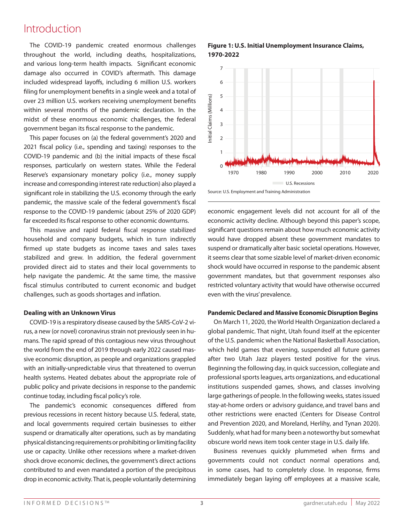### Introduction

The COVID-19 pandemic created enormous challenges throughout the world, including deaths, hospitalizations, and various long-term health impacts. Significant economic damage also occurred in COVID's aftermath. This damage included widespread layoffs, including 6 million U.S. workers filing for unemployment benefits in a single week and a total of over 23 million U.S. workers receiving unemployment benefits within several months of the pandemic declaration. In the midst of these enormous economic challenges, the federal government began its fiscal response to the pandemic.

This paper focuses on (a) the federal government's 2020 and 2021 fiscal policy (i.e., spending and taxing) responses to the COVID-19 pandemic and (b) the initial impacts of these fiscal responses, particularly on western states. While the Federal Reserve's expansionary monetary policy (i.e., money supply increase and corresponding interest rate reduction) also played a significant role in stabilizing the U.S. economy through the early pandemic, the massive scale of the federal government's fiscal response to the COVID-19 pandemic (about 25% of 2020 GDP) far exceeded its fiscal response to other economic downturns.

This massive and rapid federal fiscal response stabilized household and company budgets, which in turn indirectly firmed up state budgets as income taxes and sales taxes stabilized and grew. In addition, the federal government provided direct aid to states and their local governments to 2 help navigate the pandemic. At the same time, the massive fiscal stimulus contributed to current economic and budget challenges, such as goods shortages and inflation.

### **Dealing with an Unknown Virus**

COVID-19 is a respiratory disease caused by the SARS-CoV-2 virus, a new (or novel) coronavirus strain not previously seen in humans. The rapid spread of this contagious new virus throughout the world from the end of 2019 through early 2022 caused massive economic disruption, as people and organizations grappled with an initially-unpredictable virus that threatened to overrun health systems. Heated debates about the appropriate role of public policy and private decisions in response to the pandemic continue today, including fiscal policy's role.

The pandemic's economic consequences differed from previous recessions in recent history because U.S. federal, state, and local governments required certain businesses to either suspend or dramatically alter operations, such as by mandating physical distancing requirements or prohibiting or limiting facility use or capacity. Unlike other recessions where a market-driven shock drove economic declines, the government's direct actions contributed to and even mandated a portion of the precipitous drop in economic activity. That is, people voluntarily determining

**Figure 1: U.S. Initial Unemployment Insurance Claims, 1970-2022**



Source: U.S. Employment and Training Administration

economic engagement levels did not account for all of the economic activity decline. Although beyond this paper's scope, 7 **ECONOMIC BELIVITY GEGINIC:** MUNOLYN DEYONG UND PAPET 3 SCOPE, SIGNIFICANT QUESTIONS REMAINS DEVICE ACTIVITY mandates to design the continuum absent these government mandates to would have dropped absent these government mandates to suspend or dramatically alter basic societal operations. However, it seems clear that some sizable level of market-driven economic 4 **EXECUTE THE INTERNATION CONTROLLER CONTROLLER CONTROLLER SHOCK** WOULD have occurred in response to the pandemic absent government mandates, but that government responses also restricted voluntary activity that would have otherwise occurred even with the virus' prevalence. su<br>it<br>g<br>re

#### **Pandemic Declared and Massive Economic Disruption Begins** 0 **CPRSAA** (\$0.01T)

On March 11, 2020, the World Health Organization declared a global pandemic. That night, Utah found itself at the epicenter of the U.S. pandemic when the National Basketball Association, which held games that evening, suspended all future games after two Utah Jazz players tested positive for the virus. Beginning the following day, in quick succession, collegiate and professional sports leagues, arts organizations, and educational institutions suspended games, shows, and classes involving large gatherings of people. In the following weeks, states issued stay-at-home orders or advisory guidance, and travel bans and other restrictions were enacted (Centers for Disease Control and Prevention 2020, and Moreland, Herlihy, and Tynan 2020). Suddenly, what had for many been a noteworthy but somewhat obscure world news item took center stage in U.S. daily life.

Business revenues quickly plummeted when firms and governments could not conduct normal operations and, in some cases, had to completely close. In response, firms immediately began laying off employees at a massive scale,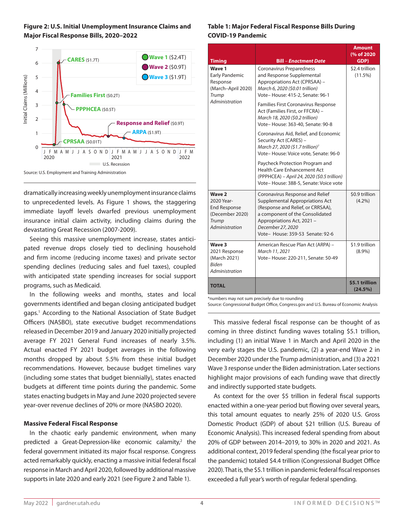



dramatically increasing weekly unemployment insurance claims to unprecedented levels. As Figure 1 shows, the staggering immediate layoff levels dwarfed previous unemployment insurance initial claim activity, including claims during the devastating Great Recession (2007-2009).

Seeing this massive unemployment increase, states anticipated revenue drops closely tied to declining household and firm income (reducing income taxes) and private sector spending declines (reducing sales and fuel taxes), coupled with anticipated state spending increases for social support programs, such as Medicaid.

In the following weeks and months, states and local governments identified and began closing anticipated budget gaps.1 According to the National Association of State Budget Officers (NASBO), state executive budget recommendations released in December 2019 and January 2020 initially projected average FY 2021 General Fund increases of nearly 3.5%. Actual enacted FY 2021 budget averages in the following months dropped by about 5.5% from these initial budget recommendations. However, because budget timelines vary (including some states that budget biennially), states enacted budgets at different time points during the pandemic. Some states enacting budgets in May and June 2020 projected severe year-over revenue declines of 20% or more (NASBO 2020).

### **Massive Federal Fiscal Response**

In the chaotic early pandemic environment, when many predicted a Great-Depression-like economic calamity, $2$  the federal government initiated its major fiscal response. Congress acted remarkably quickly, enacting a massive initial federal fiscal response in March and April 2020, followed by additional massive supports in late 2020 and early 2021 (see Figure 2 and Table 1).

### **Table 1: Major Federal Fiscal Response Bills During COVID-19 Pandemic**

| <b>Timing</b>                                                                                | Bill – Enactment Date                                                                                                                                                                                                                                                                                                                                                                                                                                                                                                                                                                                                                      | <b>Amount</b><br>(% of 2020)<br>GDP) |
|----------------------------------------------------------------------------------------------|--------------------------------------------------------------------------------------------------------------------------------------------------------------------------------------------------------------------------------------------------------------------------------------------------------------------------------------------------------------------------------------------------------------------------------------------------------------------------------------------------------------------------------------------------------------------------------------------------------------------------------------------|--------------------------------------|
| Wave 1<br><b>Early Pandemic</b><br>Response<br>(March-April 2020)<br>Trump<br>Administration | Coronavirus Preparedness<br>and Response Supplemental<br>Appropriations Act (CPRSAA) -<br>March 6, 2020 (\$0.01 trillion)<br>Vote-House: 415-2, Senate: 96-1<br>Families First Coronavirus Response<br>Act (Families First, or FFCRA) -<br>March 18, 2020 (\$0.2 trillion)<br>Vote-House: 363-40, Senate: 90-8<br>Coronavirus Aid, Relief, and Economic<br>Security Act (CARES) -<br>March 27, 2020 (\$1.7 trillion) <sup>7</sup><br>Vote-House: Voice vote, Senate: 96-0<br>Paycheck Protection Program and<br><b>Health Care Enhancement Act</b><br>(PPPHCEA) - April 24, 2020 (\$0.5 trillion)<br>Vote-House: 388-5, Senate: Voice vote | \$2.4 trillion<br>$(11.5\%)$         |
| Wave 2<br>2020 Year-<br><b>End Response</b><br>(December 2020)<br>Trump<br>Administration    | Coronavirus Response and Relief<br><b>Supplemental Appropriations Act</b><br>(Response and Relief, or CRRSAA),<br>a component of the Consolidated<br>Appropriations Act, 2021 -<br>December 27, 2020<br>Vote- House: 359-53 Senate: 92-6                                                                                                                                                                                                                                                                                                                                                                                                   | \$0.9 trillion<br>$(4.2\%)$          |
| Wave 3<br>2021 Response<br>(March 2021)<br><b>Biden</b><br>Administration                    | American Rescue Plan Act (ARPA) -<br>March 11, 2021<br>Vote-House: 220-211, Senate: 50-49                                                                                                                                                                                                                                                                                                                                                                                                                                                                                                                                                  | \$1.9 trillion<br>$(8.9\%)$          |
| <b>TOTAL</b>                                                                                 |                                                                                                                                                                                                                                                                                                                                                                                                                                                                                                                                                                                                                                            | \$5.1 trillion<br>(24.5%)            |

\*numbers may not sum precisely due to rounding

Source: Congressional Budget Office, Congress.gov and U.S. Bureau of Economic Analysis

This massive federal fiscal response can be thought of as coming in three distinct funding waves totaling \$5.1 trillion, including (1) an initial Wave 1 in March and April 2020 in the very early stages the U.S. pandemic, (2) a year-end Wave 2 in December 2020 under the Trump administration, and (3) a 2021 Wave 3 response under the Biden administration. Later sections highlight major provisions of each funding wave that directly and indirectly supported state budgets.

As context for the over \$5 trillion in federal fiscal supports enacted within a one-year period but flowing over several years, this total amount equates to nearly 25% of 2020 U.S. Gross Domestic Product (GDP) of about \$21 trillion (U.S. Bureau of Economic Analysis). This increased federal spending from about 20% of GDP between 2014–2019, to 30% in 2020 and 2021. As additional context, 2019 federal spending (the fiscal year prior to the pandemic) totaled \$4.4 trillion (Congressional Budget Office 2020). That is, the \$5.1 trillion in pandemic federal fiscal responses exceeded a full year's worth of regular federal spending.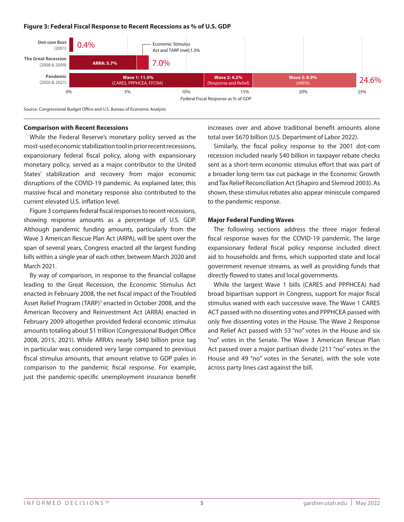### **Figure 3: Federal Fiscal Response to Recent Recessions as % of U.S. GDP**



Source: Congressional Budget Office and U.S. Bureau of Economic Analysis

#### **Comparison with Recent Recessions**

While the Federal Reserve's monetary policy served as the most-used economic stabilization tool in prior recent recessions, expansionary federal fiscal policy, along with expansionary monetary policy, served as a major contributor to the United States' stabilization and recovery from major economic disruptions of the COVID-19 pandemic. As explained later, this massive fiscal and monetary response also contributed to the current elevated U.S. inflation level.

Figure 3 compares federal fiscal responses to recent recessions, showing response amounts as a percentage of U.S. GDP. Although pandemic funding amounts, particularly from the Wave 3 American Rescue Plan Act (ARPA), will be spent over the span of several years, Congress enacted all the largest funding bills within a single year of each other, between March 2020 and March 2021.

By way of comparison, in response to the financial collapse leading to the Great Recession, the Economic Stimulus Act enacted in February 2008, the net fiscal impact of the Troubled Asset Relief Program (TARP)<sup>3</sup> enacted in October 2008, and the American Recovery and Reinvestment Act (ARRA) enacted in February 2009 altogether provided federal economic stimulus amounts totaling about \$1 trillion (Congressional Budget Office 2008, 2015, 2021). While ARRA's nearly \$840 billion price tag in particular was considered very large compared to previous fiscal stimulus amounts, that amount relative to GDP pales in comparison to the pandemic fiscal response. For example, just the pandemic-specific unemployment insurance benefit

increases over and above traditional benefit amounts alone total over \$670 billion (U.S. Department of Labor 2022).

Similarly, the fiscal policy response to the 2001 dot-com recession included nearly \$40 billion in taxpayer rebate checks sent as a short-term economic stimulus effort that was part of a broader long-term tax cut package in the Economic Growth and Tax Relief Reconciliation Act (Shapiro and Slemrod 2003). As shown, these stimulus rebates also appear miniscule compared to the pandemic response.

#### **Major Federal Funding Waves**

The following sections address the three major federal fiscal response waves for the COVID-19 pandemic. The large expansionary federal fiscal policy response included direct aid to households and firms, which supported state and local government revenue streams, as well as providing funds that directly flowed to states and local governments.

While the largest Wave 1 bills (CARES and PPPHCEA) had broad bipartisan support in Congress, support for major fiscal stimulus waned with each successive wave. The Wave 1 CARES ACT passed with no dissenting votes and PPPHCEA passed with only five dissenting votes in the House. The Wave 2 Response and Relief Act passed with 53 "no" votes in the House and six "no" votes in the Senate. The Wave 3 American Rescue Plan Act passed over a major partisan divide (211 "no" votes in the House and 49 "no" votes in the Senate), with the sole vote across party lines cast against the bill.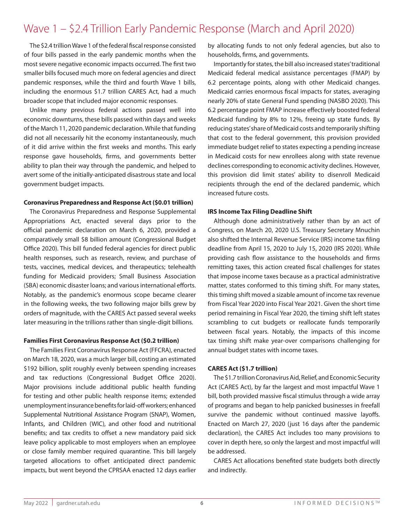## Wave 1 – \$2.4 Trillion Early Pandemic Response (March and April 2020)

The \$2.4 trillion Wave 1 of the federal fiscal response consisted of four bills passed in the early pandemic months when the most severe negative economic impacts occurred. The first two smaller bills focused much more on federal agencies and direct pandemic responses, while the third and fourth Wave 1 bills, including the enormous \$1.7 trillion CARES Act, had a much broader scope that included major economic responses.

Unlike many previous federal actions passed well into economic downturns, these bills passed within days and weeks of the March 11, 2020 pandemic declaration. While that funding did not all necessarily hit the economy instantaneously, much of it did arrive within the first weeks and months. This early response gave households, firms, and governments better ability to plan their way through the pandemic, and helped to avert some of the initially-anticipated disastrous state and local government budget impacts.

#### **Coronavirus Preparedness and Response Act (\$0.01 trillion)**

The Coronavirus Preparedness and Response Supplemental Appropriations Act, enacted several days prior to the official pandemic declaration on March 6, 2020, provided a comparatively small \$8 billion amount (Congressional Budget Office 2020). This bill funded federal agencies for direct public health responses, such as research, review, and purchase of tests, vaccines, medical devices, and therapeutics; telehealth funding for Medicaid providers; Small Business Association (SBA) economic disaster loans; and various international efforts. Notably, as the pandemic's enormous scope became clearer in the following weeks, the two following major bills grew by orders of magnitude, with the CARES Act passed several weeks later measuring in the trillions rather than single-digit billions.

### **Families First Coronavirus Response Act (\$0.2 trillion)**

The Families First Coronavirus Response Act (FFCRA), enacted on March 18, 2020, was a much larger bill, costing an estimated \$192 billion, split roughly evenly between spending increases and tax reductions (Congressional Budget Office 2020). Major provisions include additional public health funding for testing and other public health response items; extended unemployment insurance benefits for laid-off workers; enhanced Supplemental Nutritional Assistance Program (SNAP), Women, Infants, and Children (WIC), and other food and nutritional benefits; and tax credits to offset a new mandatory paid sick leave policy applicable to most employers when an employee or close family member required quarantine. This bill largely targeted allocations to offset anticipated direct pandemic impacts, but went beyond the CPRSAA enacted 12 days earlier by allocating funds to not only federal agencies, but also to households, firms, and governments.

Importantly for states, the bill also increased states' traditional Medicaid federal medical assistance percentages (FMAP) by 6.2 percentage points, along with other Medicaid changes. Medicaid carries enormous fiscal impacts for states, averaging nearly 20% of state General Fund spending (NASBO 2020). This 6.2 percentage point FMAP increase effectively boosted federal Medicaid funding by 8% to 12%, freeing up state funds. By reducing states' share of Medicaid costs and temporarily shifting that cost to the federal government, this provision provided immediate budget relief to states expecting a pending increase in Medicaid costs for new enrollees along with state revenue declines corresponding to economic activity declines. However, this provision did limit states' ability to disenroll Medicaid recipients through the end of the declared pandemic, which increased future costs.

### **IRS Income Tax Filing Deadline Shift**

Although done administratively rather than by an act of Congress, on March 20, 2020 U.S. Treasury Secretary Mnuchin also shifted the Internal Revenue Service (IRS) income tax filing deadline from April 15, 2020 to July 15, 2020 (IRS 2020). While providing cash flow assistance to the households and firms remitting taxes, this action created fiscal challenges for states that impose income taxes because as a practical administrative matter, states conformed to this timing shift. For many states, this timing shift moved a sizable amount of income tax revenue from Fiscal Year 2020 into Fiscal Year 2021. Given the short time period remaining in Fiscal Year 2020, the timing shift left states scrambling to cut budgets or reallocate funds temporarily between fiscal years. Notably, the impacts of this income tax timing shift make year-over comparisons challenging for annual budget states with income taxes.

#### **CARES Act (\$1.7 trillion)**

The \$1.7 trillion Coronavirus Aid, Relief, and Economic Security Act (CARES Act), by far the largest and most impactful Wave 1 bill, both provided massive fiscal stimulus through a wide array of programs and began to help panicked businesses in freefall survive the pandemic without continued massive layoffs. Enacted on March 27, 2020 (just 16 days after the pandemic declaration), the CARES Act includes too many provisions to cover in depth here, so only the largest and most impactful will be addressed.

CARES Act allocations benefited state budgets both directly and indirectly.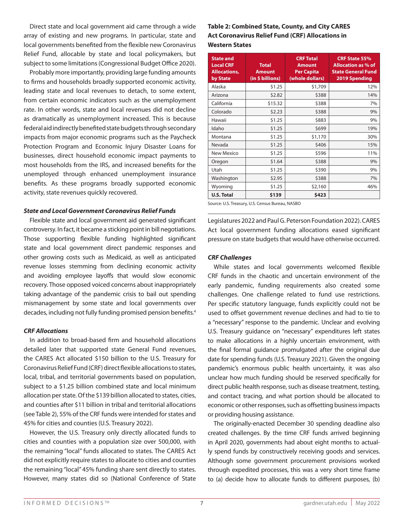Direct state and local government aid came through a wide array of existing and new programs. In particular, state and local governments benefited from the flexible new Coronavirus Relief Fund, allocable by state and local policymakers, but subject to some limitations (Congressional Budget Office 2020).

Probably more importantly, providing large funding amounts to firms and households broadly supported economic activity, leading state and local revenues to detach, to some extent, from certain economic indicators such as the unemployment rate. In other words, state and local revenues did not decline as dramatically as unemployment increased. This is because federal aid indirectly benefited state budgets through secondary impacts from major economic programs such as the Paycheck Protection Program and Economic Injury Disaster Loans for businesses, direct household economic impact payments to most households from the IRS, and increased benefits for the unemployed through enhanced unemployment insurance benefits. As these programs broadly supported economic activity, state revenues quickly recovered.

### *State and Local Government Coronavirus Relief Funds*

Flexible state and local government aid generated significant controversy. In fact, it became a sticking point in bill negotiations. Those supporting flexible funding highlighted significant state and local government direct pandemic responses and other growing costs such as Medicaid, as well as anticipated revenue losses stemming from declining economic activity and avoiding employee layoffs that would slow economic recovery. Those opposed voiced concerns about inappropriately taking advantage of the pandemic crisis to bail out spending mismanagement by some state and local governments over decades, including not fully funding promised pension benefits.4

### *CRF Allocations*

In addition to broad-based firm and household allocations detailed later that supported state General Fund revenues, the CARES Act allocated \$150 billion to the U.S. Treasury for Coronavirus Relief Fund (CRF) direct flexible allocations to states, local, tribal, and territorial governments based on population, subject to a \$1.25 billion combined state and local minimum allocation per state. Of the \$139 billion allocated to states, cities, and counties after \$11 billion in tribal and territorial allocations (see Table 2), 55% of the CRF funds were intended for states and 45% for cities and counties (U.S. Treasury 2022).

However, the U.S. Treasury only directly allocated funds to cities and counties with a population size over 500,000, with the remaining "local" funds allocated to states. The CARES Act did not explicitly require states to allocate to cities and counties the remaining "local" 45% funding share sent directly to states. However, many states did so (National Conference of State

### **Table 2: Combined State, County, and City CARES Act Coronavirus Relief Fund (CRF) Allocations in Western States**

| <b>State and</b><br><b>Local CRF</b><br><b>Allocations,</b><br>by State | <b>CRF Total</b><br><b>Total</b><br><b>Amount</b><br><b>Per Capita</b><br><b>Amount</b><br>(in \$ billions)<br>(whole dollars) |         | <b>CRF State 55%</b><br><b>Allocation as % of</b><br><b>State General Fund</b><br>2019 Spending |
|-------------------------------------------------------------------------|--------------------------------------------------------------------------------------------------------------------------------|---------|-------------------------------------------------------------------------------------------------|
| Alaska                                                                  | \$1.25                                                                                                                         | \$1,709 | 12%                                                                                             |
| Arizona                                                                 | \$2.82                                                                                                                         | \$388   | 14%                                                                                             |
| California                                                              | \$15.32                                                                                                                        | \$388   | 7%                                                                                              |
| Colorado                                                                | \$2.23                                                                                                                         | \$388   | 9%                                                                                              |
| Hawaii                                                                  | \$1.25                                                                                                                         | \$883   | 9%                                                                                              |
| Idaho                                                                   | \$1.25                                                                                                                         | \$699   | 19%                                                                                             |
| Montana                                                                 | \$1.25                                                                                                                         | \$1,170 | 30%                                                                                             |
| Nevada                                                                  | \$1.25                                                                                                                         | \$406   | 15%                                                                                             |
| New Mexico                                                              | \$1.25                                                                                                                         | \$596   | 11%                                                                                             |
| Oregon                                                                  | \$1.64                                                                                                                         | \$388   | 9%                                                                                              |
| Utah                                                                    | \$1.25                                                                                                                         | \$390   | 9%                                                                                              |
| Washington                                                              | \$2.95                                                                                                                         | \$388   | 7%                                                                                              |
| Wyoming                                                                 | \$1.25                                                                                                                         | \$2,160 | 46%                                                                                             |
| <b>U.S. Total</b>                                                       | \$139                                                                                                                          | \$423   |                                                                                                 |

Source: U.S. Treasury, U.S. Census Bureau, NASBO

Legislatures 2022 and Paul G. Peterson Foundation 2022). CARES Act local government funding allocations eased significant pressure on state budgets that would have otherwise occurred.

### *CRF Challenges*

While states and local governments welcomed flexible CRF funds in the chaotic and uncertain environment of the early pandemic, funding requirements also created some challenges. One challenge related to fund use restrictions. Per specific statutory language, funds explicitly could not be used to offset government revenue declines and had to tie to a "necessary" response to the pandemic. Unclear and evolving U.S. Treasury guidance on "necessary" expenditures left states to make allocations in a highly uncertain environment, with the final formal guidance promulgated after the original due date for spending funds (U.S. Treasury 2021). Given the ongoing pandemic's enormous public health uncertainty, it was also unclear how much funding should be reserved specifically for direct public health response, such as disease treatment, testing, and contact tracing, and what portion should be allocated to economic or other responses, such as offsetting business impacts or providing housing assistance.

The originally-enacted December 30 spending deadline also created challenges. By the time CRF funds arrived beginning in April 2020, governments had about eight months to actually spend funds by constructively receiving goods and services. Although some government procurement provisions worked through expedited processes, this was a very short time frame to (a) decide how to allocate funds to different purposes, (b)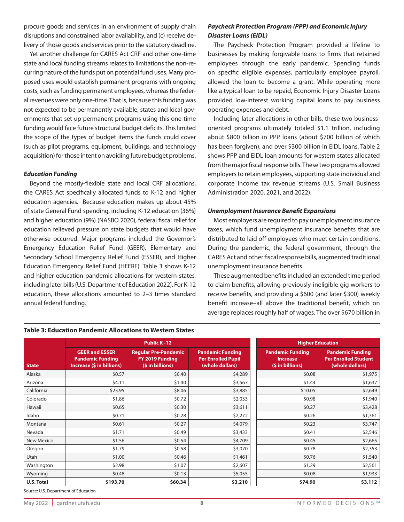procure goods and services in an environment of supply chain disruptions and constrained labor availability, and (c) receive delivery of those goods and services prior to the statutory deadline.

Yet another challenge for CARES Act CRF and other one-time state and local funding streams relates to limitations the non-recurring nature of the funds put on potential fund uses. Many proposed uses would establish permanent programs with ongoing costs, such as funding permanent employees, whereas the federal revenues were only one-time. That is, because this funding was not expected to be permanently available, states and local governments that set up permanent programs using this one-time funding would face future structural budget deficits. This limited the scope of the types of budget items the funds could cover (such as pilot programs, equipment, buildings, and technology acquisition) for those intent on avoiding future budget problems.

### *Education Funding*

Beyond the mostly-flexible state and local CRF allocations, the CARES Act specifically allocated funds to K-12 and higher education agencies. Because education makes up about 45% of state General Fund spending, including K-12 education (36%) and higher education (9%) (NASBO 2020), federal fiscal relief for education relieved pressure on state budgets that would have otherwise occurred. Major programs included the Governor's Emergency Education Relief Fund (GEER), Elementary and Secondary School Emergency Relief Fund (ESSER), and Higher Education Emergency Relief Fund (HEERF). Table 3 shows K-12 and higher education pandemic allocations for western states, including later bills (U.S. Department of Education 2022). For K-12 education, these allocations amounted to 2–3 times standard annual federal funding.

### **Table 3: Education Pandemic Allocations to Western States**

|                   |                                                                               | <b>Public K-12</b>                                                                                                                                               |         | <b>Higher Education</b>                     |                                                                           |  |
|-------------------|-------------------------------------------------------------------------------|------------------------------------------------------------------------------------------------------------------------------------------------------------------|---------|---------------------------------------------|---------------------------------------------------------------------------|--|
| <b>State</b>      | <b>GEER and ESSER</b><br><b>Pandemic Funding</b><br>Increase (\$ in billions) | <b>Pandemic Funding</b><br><b>Regular Pre-Pandemic</b><br>FY 2019 Funding<br><b>Per Enrolled Pupil</b><br><b>Increase</b><br>(\$ in billions)<br>(whole dollars) |         | <b>Pandemic Funding</b><br>(\$ in billions) | <b>Pandemic Funding</b><br><b>Per Enrolled Student</b><br>(whole dollars) |  |
| Alaska            | \$0.57                                                                        | \$0.40                                                                                                                                                           | \$4,289 | \$0.08                                      | \$1,975                                                                   |  |
| Arizona           | \$4.11                                                                        | \$1.40                                                                                                                                                           | \$3,567 | \$1.44                                      | \$1,637                                                                   |  |
| California        | \$23.95                                                                       | \$8.06                                                                                                                                                           | \$3,885 | \$10.05                                     | \$2,649                                                                   |  |
| Colorado          | \$1.86                                                                        | \$0.72                                                                                                                                                           | \$2,033 | \$0.98                                      | \$1,940                                                                   |  |
| Hawaii            | \$0.65                                                                        | \$0.30                                                                                                                                                           | \$3,611 | \$0.27                                      | \$3,428                                                                   |  |
| Idaho             | \$0.71                                                                        | \$0.28                                                                                                                                                           | \$2,272 | \$0.26                                      | \$1,361                                                                   |  |
| Montana           | \$0.61                                                                        | \$0.27                                                                                                                                                           | \$4,079 | \$0.23                                      | \$3,747                                                                   |  |
| Nevada            | \$1.71                                                                        | \$0.49                                                                                                                                                           | \$3,433 | \$0.41                                      | \$2,546                                                                   |  |
| New Mexico        | \$1.56                                                                        | \$0.54                                                                                                                                                           | \$4,709 | \$0.45                                      | \$2,665                                                                   |  |
| Oregon            | \$1.79                                                                        | \$0.58                                                                                                                                                           | \$3,070 | \$0.78                                      | \$2,353                                                                   |  |
| Utah              | \$1.00                                                                        | \$0.46                                                                                                                                                           | \$1,461 | \$0.76                                      | \$1,540                                                                   |  |
| Washington        | \$2.98                                                                        | \$1.07                                                                                                                                                           | \$2,607 | \$1.29                                      | \$2,561                                                                   |  |
| Wyoming           | \$0.48                                                                        | \$0.13                                                                                                                                                           | \$5,055 | \$0.08                                      | \$1,933                                                                   |  |
| <b>U.S. Total</b> | \$193.70                                                                      | \$60.34                                                                                                                                                          | \$3,210 | \$74.90                                     | \$3,112                                                                   |  |

### *Paycheck Protection Program (PPP) and Economic Injury Disaster Loans (EIDL)*

The Paycheck Protection Program provided a lifeline to businesses by making forgivable loans to firms that retained employees through the early pandemic. Spending funds on specific eligible expenses, particularly employee payroll, allowed the loan to become a grant. While operating more like a typical loan to be repaid, Economic Injury Disaster Loans provided low-interest working capital loans to pay business operating expenses and debt.

Including later allocations in other bills, these two businessoriented programs ultimately totaled \$1.1 trillion, including about \$800 billion in PPP loans (about \$700 billion of which has been forgiven), and over \$300 billion in EIDL loans. Table 2 shows PPP and EIDL loan amounts for western states allocated from the major fiscal response bills. These two programs allowed employers to retain employees, supporting state individual and corporate income tax revenue streams (U.S. Small Business Administration 2020, 2021, and 2022).

### *Unemployment Insurance Benefit Expansions*

Most employers are required to pay unemployment insurance taxes, which fund unemployment insurance benefits that are distributed to laid off employees who meet certain conditions. During the pandemic, the federal government, through the CARES Act and other fiscal response bills, augmented traditional unemployment insurance benefits.

These augmented benefits included an extended time period to claim benefits, allowing previously-ineligible gig workers to receive benefits, and providing a \$600 (and later \$300) weekly benefit increase–all above the traditional benefit, which on average replaces roughly half of wages. The over \$670 billion in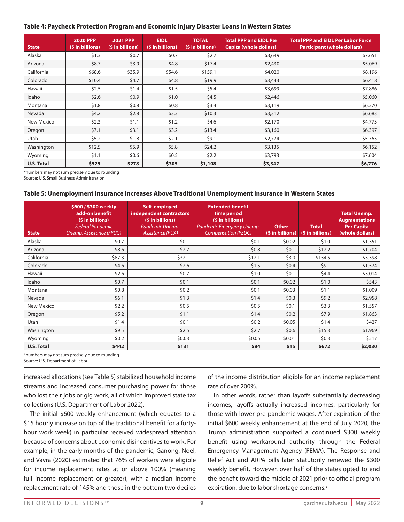### **Table 4: Paycheck Protection Program and Economic Injury Disaster Loans in Western States**

| <b>State</b>      | 2020 PPP<br>(\$ in billions) | <b>2021 PPP</b><br>(\$ in billions) | <b>EIDL</b><br>(\$ in billions) | <b>TOTAL</b><br>(\$ in billions) | <b>Total PPP and EIDL Per</b><br><b>Capita (whole dollars)</b> | <b>Total PPP and EIDL Per Labor Force</b><br><b>Participant (whole dollars)</b> |
|-------------------|------------------------------|-------------------------------------|---------------------------------|----------------------------------|----------------------------------------------------------------|---------------------------------------------------------------------------------|
| Alaska            | \$1.3                        | \$0.7                               | \$0.7                           | \$2.7                            | \$3,649                                                        | \$7,651                                                                         |
| Arizona           | \$8.7                        | \$3.9                               | \$4.8\$                         | \$17.4                           | \$2,430                                                        | \$5,069                                                                         |
| California        | \$68.6                       | \$35.9                              | \$54.6                          | \$159.1                          | \$4,020                                                        | \$8,196                                                                         |
| Colorado          | \$10.4                       | 54.7                                | \$4.8                           | \$19.9                           | \$3,443                                                        | \$6,418                                                                         |
| Hawaii            | \$2.5                        | \$1.4                               | \$1.5                           | \$5.4                            | \$3,699                                                        | \$7,886                                                                         |
| Idaho             | \$2.6                        | \$0.9                               | \$1.0                           | \$4.5                            | \$2,446                                                        | \$5,060                                                                         |
| Montana           | \$1.8                        | \$0.8                               | \$0.8\$                         | \$3.4                            | \$3,119                                                        | \$6,270                                                                         |
| Nevada            | \$4.2\$                      | \$2.8                               | \$3.3                           | \$10.3                           | \$3,312                                                        | \$6,683                                                                         |
| New Mexico        | \$2.3                        | \$1.1                               | \$1.2                           | \$4.6                            | \$2,170                                                        | \$4,773                                                                         |
| Oregon            | \$7.1                        | \$3.1                               | \$3.2                           | \$13.4                           | \$3,160                                                        | \$6,397                                                                         |
| Utah              | \$5.2                        | \$1.8                               | \$2.1                           | \$9.1                            | \$2,774                                                        | \$5,765                                                                         |
| Washington        | \$12.5                       | \$5.9                               | \$5.8                           | \$24.2                           | \$3,135                                                        | \$6,152                                                                         |
| Wyoming           | \$1.1                        | \$0.6\$                             | \$0.5                           | \$2.2                            | \$3,793                                                        | \$7,604                                                                         |
| <b>U.S. Total</b> | \$525                        | \$278                               | \$305                           | \$1,108                          | \$3,347                                                        | \$6,776                                                                         |

\*numbers may not sum precisely due to rounding

Source: U.S. Small Business Administration

### **Table 5: Unemployment Insurance Increases Above Traditional Unemployment Insurance in Western States**

| <b>State</b>      | \$600 / \$300 weekly<br>add-on benefit<br>(\$ in billions)<br><b>Federal Pandemic</b><br>Unemp. Assistance (FPUC) | Self-employed<br>independent contractors<br>(\$ in billions)<br>Pandemic Unemp.<br>Assistance (PUA) | <b>Extended benefit</b><br>time period<br>(\$ in billions)<br>Pandemic Emergency Unemp.<br><b>Compensation (PEUC)</b> | <b>Other</b><br>(\$ in billions) | <b>Total</b><br>(\$ in billions) | <b>Total Unemp.</b><br><b>Augmentations</b><br><b>Per Capita</b><br>(whole dollars) |
|-------------------|-------------------------------------------------------------------------------------------------------------------|-----------------------------------------------------------------------------------------------------|-----------------------------------------------------------------------------------------------------------------------|----------------------------------|----------------------------------|-------------------------------------------------------------------------------------|
| Alaska            | \$0.7                                                                                                             | \$0.1                                                                                               | \$0.1                                                                                                                 | \$0.02                           | \$1.0                            | \$1,351                                                                             |
| Arizona           | \$8.6                                                                                                             | \$2.7                                                                                               | \$0.8\$                                                                                                               | \$0.1                            | \$12.2                           | \$1,704                                                                             |
| California        | \$87.3                                                                                                            | \$32.1                                                                                              | \$12.1                                                                                                                | \$3.0                            | \$134.5                          | \$3,398                                                                             |
| Colorado          | \$4.6                                                                                                             | \$2.6                                                                                               | \$1.5                                                                                                                 | \$0.4\$                          | \$9.1                            | \$1,574                                                                             |
| Hawaii            | \$2.6                                                                                                             | \$0.7                                                                                               | \$1.0                                                                                                                 | \$0.1                            | \$4.4                            | \$3,014                                                                             |
| Idaho             | \$0.7                                                                                                             | \$0.1                                                                                               | \$0.1                                                                                                                 | \$0.02                           | \$1.0                            | \$543                                                                               |
| Montana           | \$0.8                                                                                                             | \$0.2\$                                                                                             | \$0.1                                                                                                                 | \$0.03                           | \$1.1                            | \$1,009                                                                             |
| Nevada            | \$6.1                                                                                                             | \$1.3                                                                                               | \$1.4                                                                                                                 | \$0.3                            | \$9.2                            | \$2,958                                                                             |
| New Mexico        | \$2.2                                                                                                             | \$0.5                                                                                               | \$0.5                                                                                                                 | \$0.1                            | \$3.3                            | \$1,557                                                                             |
| Oregon            | \$5.2                                                                                                             | \$1.1                                                                                               | \$1.4                                                                                                                 | \$0.2\$                          | \$7.9                            | \$1,863                                                                             |
| Utah              | \$1.4                                                                                                             | \$0.1                                                                                               | \$0.2\$                                                                                                               | \$0.05                           | \$1.4                            | \$427                                                                               |
| Washington        | \$9.5                                                                                                             | \$2.5                                                                                               | \$2.7                                                                                                                 | \$0.6                            | \$15.3                           | \$1,969                                                                             |
| Wyoming           | \$0.2\$                                                                                                           | \$0.03                                                                                              | \$0.05                                                                                                                | \$0.01                           | \$0.3\$                          | \$517                                                                               |
| <b>U.S. Total</b> | \$442                                                                                                             | \$131                                                                                               | \$84                                                                                                                  | \$15                             | \$672                            | \$2,030                                                                             |

\*numbers may not sum precisely due to rounding

Source: U.S. Department of Labor

increased allocations (see Table 5) stabilized household income streams and increased consumer purchasing power for those who lost their jobs or gig work, all of which improved state tax collections (U.S. Department of Labor 2022).

The initial \$600 weekly enhancement (which equates to a \$15 hourly increase on top of the traditional benefit for a fortyhour work week) in particular received widespread attention because of concerns about economic disincentives to work. For example, in the early months of the pandemic, Ganong, Noel, and Vavra (2020) estimated that 76% of workers were eligible for income replacement rates at or above 100% (meaning full income replacement or greater), with a median income replacement rate of 145% and those in the bottom two deciles of the income distribution eligible for an income replacement rate of over 200%.

In other words, rather than layoffs substantially decreasing incomes, layoffs actually increased incomes, particularly for those with lower pre-pandemic wages. After expiration of the initial \$600 weekly enhancement at the end of July 2020, the Trump administration supported a continued \$300 weekly benefit using workaround authority through the Federal Emergency Management Agency (FEMA). The Response and Relief Act and ARPA bills later statutorily renewed the \$300 weekly benefit. However, over half of the states opted to end the benefit toward the middle of 2021 prior to official program expiration, due to labor shortage concerns.<sup>5</sup>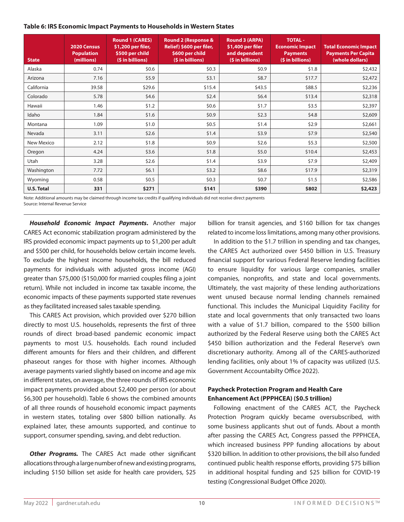### **Table 6: IRS Economic Impact Payments to Households in Western States**

| <b>State</b>      | 2020 Census<br><b>Population</b><br>(millions) | <b>Round 1 (CARES)</b><br>\$1,200 per filer,<br>\$500 per child<br>(\$ in billions) | Round 2 (Response &<br>Relief) \$600 per filer,<br>\$600 per child<br>(\$ in billions) | <b>Round 3 (ARPA)</b><br>\$1,400 per filer<br>and dependent<br>(\$ in billions) | <b>TOTAL -</b><br><b>Economic Impact</b><br><b>Payments</b><br>(\$ in billions) | <b>Total Economic Impact</b><br><b>Payments Per Capita</b><br>(whole dollars) |
|-------------------|------------------------------------------------|-------------------------------------------------------------------------------------|----------------------------------------------------------------------------------------|---------------------------------------------------------------------------------|---------------------------------------------------------------------------------|-------------------------------------------------------------------------------|
| Alaska            | 0.74                                           | \$0.6                                                                               | \$0.3\$                                                                                | \$0.9                                                                           | \$1.8                                                                           | \$2,432                                                                       |
| Arizona           | 7.16                                           | \$5.9                                                                               | \$3.1                                                                                  | \$8.7                                                                           | \$17.7                                                                          | \$2,472                                                                       |
| California        | 39.58                                          | \$29.6                                                                              | \$15.4                                                                                 | \$43.5                                                                          | \$88.5                                                                          | \$2,236                                                                       |
| Colorado          | 5.78                                           | \$4.6                                                                               | \$2.4                                                                                  | \$6.4\$                                                                         | \$13.4                                                                          | \$2,318                                                                       |
| Hawaii            | 1.46                                           | \$1.2                                                                               | \$0.6\$                                                                                | \$1.7                                                                           | \$3.5                                                                           | \$2,397                                                                       |
| Idaho             | 1.84                                           | \$1.6                                                                               | \$0.9\$                                                                                | \$2.3                                                                           | \$4.8                                                                           | \$2,609                                                                       |
| Montana           | 1.09                                           | \$1.0                                                                               | \$0.5                                                                                  | \$1.4                                                                           | \$2.9                                                                           | \$2,661                                                                       |
| Nevada            | 3.11                                           | \$2.6                                                                               | \$1.4                                                                                  | \$3.9                                                                           | \$7.9                                                                           | \$2,540                                                                       |
| New Mexico        | 2.12                                           | \$1.8                                                                               | \$0.9                                                                                  | \$2.6                                                                           | \$5.3                                                                           | \$2,500                                                                       |
| Oregon            | 4.24                                           | \$3.6                                                                               | \$1.8                                                                                  | \$5.0                                                                           | \$10.4                                                                          | \$2,453                                                                       |
| Utah              | 3.28                                           | \$2.6                                                                               | \$1.4                                                                                  | \$3.9                                                                           | \$7.9                                                                           | \$2,409                                                                       |
| Washington        | 7.72                                           | \$6.1                                                                               | \$3.2                                                                                  | \$8.6                                                                           | \$17.9                                                                          | \$2,319                                                                       |
| Wyoming           | 0.58                                           | \$0.5                                                                               | \$0.3\$                                                                                | \$0.7                                                                           | \$1.5                                                                           | \$2,586                                                                       |
| <b>U.S. Total</b> | 331                                            | \$271                                                                               | \$141                                                                                  | \$390                                                                           | \$802                                                                           | \$2,423                                                                       |

Note: Additional amounts may be claimed through income tax credits if qualifying individuals did not receive direct payments Source: Internal Revenue Service

*Household Economic Impact Payments***.** Another major CARES Act economic stabilization program administered by the IRS provided economic impact payments up to \$1,200 per adult and \$500 per child, for households below certain income levels. To exclude the highest income households, the bill reduced payments for individuals with adjusted gross income (AGI) greater than \$75,000 (\$150,000 for married couples filing a joint return). While not included in income tax taxable income, the economic impacts of these payments supported state revenues as they facilitated increased sales taxable spending.

This CARES Act provision, which provided over \$270 billion directly to most U.S. households, represents the first of three rounds of direct broad-based pandemic economic impact payments to most U.S. households. Each round included different amounts for filers and their children, and different phaseout ranges for those with higher incomes. Although average payments varied slightly based on income and age mix in different states, on average, the three rounds of IRS economic impact payments provided about \$2,400 per person (or about \$6,300 per household). Table 6 shows the combined amounts of all three rounds of household economic impact payments in western states, totaling over \$800 billion nationally. As explained later, these amounts supported, and continue to support, consumer spending, saving, and debt reduction.

*Other Programs.* The CARES Act made other significant allocations through a large number of new and existing programs, including \$150 billion set aside for health care providers, \$25 billion for transit agencies, and \$160 billion for tax changes related to income loss limitations, among many other provisions.

In addition to the \$1.7 trillion in spending and tax changes, the CARES Act authorized over \$450 billion in U.S. Treasury financial support for various Federal Reserve lending facilities to ensure liquidity for various large companies, smaller companies, nonprofits, and state and local governments. Ultimately, the vast majority of these lending authorizations went unused because normal lending channels remained functional. This includes the Municipal Liquidity Facility for state and local governments that only transacted two loans with a value of \$1.7 billion, compared to the \$500 billion authorized by the Federal Reserve using both the CARES Act \$450 billion authorization and the Federal Reserve's own discretionary authority. Among all of the CARES-authorized lending facilities, only about 1% of capacity was utilized (U.S. Government Accountabilty Office 2022).

### **Paycheck Protection Program and Health Care Enhancement Act (PPPHCEA) (\$0.5 trillion)**

Following enactment of the CARES ACT, the Paycheck Protection Program quickly became oversubscribed, with some business applicants shut out of funds. About a month after passing the CARES Act, Congress passed the PPPHCEA, which increased business PPP funding allocations by about \$320 billion. In addition to other provisions, the bill also funded continued public health response efforts, providing \$75 billion in additional hospital funding and \$25 billion for COVID-19 testing (Congressional Budget Office 2020).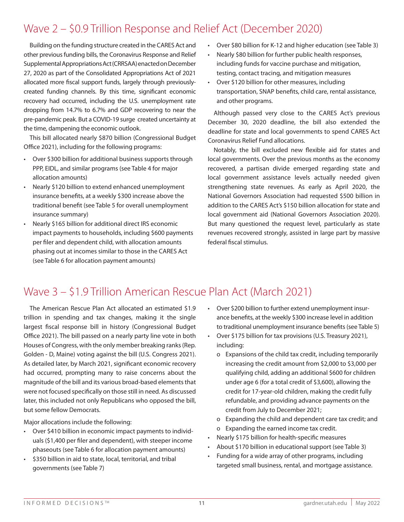## Wave 2 – \$0.9 Trillion Response and Relief Act (December 2020)

Building on the funding structure created in the CARES Act and other previous funding bills, the Coronavirus Response and Relief Supplemental Appropriations Act (CRRSAA) enacted on December 27, 2020 as part of the Consolidated Appropriations Act of 2021 allocated more fiscal support funds, largely through previouslycreated funding channels. By this time, significant economic recovery had occurred, including the U.S. unemployment rate dropping from 14.7% to 6.7% and GDP recovering to near the pre-pandemic peak. But a COVID-19 surge created uncertainty at the time, dampening the economic outlook.

This bill allocated nearly \$870 billion (Congressional Budget Office 2021), including for the following programs:

- Over \$300 billion for additional business supports through PPP, EIDL, and similar programs (see Table 4 for major allocation amounts)
- Nearly \$120 billion to extend enhanced unemployment insurance benefits, at a weekly \$300 increase above the traditional benefit (see Table 5 for overall unemployment insurance summary)
- Nearly \$165 billion for additional direct IRS economic impact payments to households, including \$600 payments per filer and dependent child, with allocation amounts phasing out at incomes similar to those in the CARES Act (see Table 6 for allocation payment amounts)
- Over \$80 billion for K-12 and higher education (see Table 3)
- Nearly \$80 billion for further public health responses, including funds for vaccine purchase and mitigation, testing, contact tracing, and mitigation measures
- Over \$120 billion for other measures, including transportation, SNAP benefits, child care, rental assistance, and other programs.

Although passed very close to the CARES Act's previous December 30, 2020 deadline, the bill also extended the deadline for state and local governments to spend CARES Act Coronavirus Relief Fund allocations.

Notably, the bill excluded new flexible aid for states and local governments. Over the previous months as the economy recovered, a partisan divide emerged regarding state and local government assistance levels actually needed given strengthening state revenues. As early as April 2020, the National Governors Association had requested \$500 billion in addition to the CARES Act's \$150 billion allocation for state and local government aid (National Governors Association 2020). But many questioned the request level, particularly as state revenues recovered strongly, assisted in large part by massive federal fiscal stimulus.

# Wave 3 – \$1.9 Trillion American Rescue Plan Act (March 2021)

The American Rescue Plan Act allocated an estimated \$1.9 trillion in spending and tax changes, making it the single largest fiscal response bill in history (Congressional Budget Office 2021). The bill passed on a nearly party line vote in both Houses of Congress, with the only member breaking ranks (Rep. Golden - D, Maine) voting against the bill (U.S. Congress 2021). As detailed later, by March 2021, significant economic recovery had occurred, prompting many to raise concerns about the magnitude of the bill and its various broad-based elements that were not focused specifically on those still in need. As discussed later, this included not only Republicans who opposed the bill, but some fellow Democrats.

Major allocations include the following:

- Over \$410 billion in economic impact payments to individuals (\$1,400 per filer and dependent), with steeper income phaseouts (see Table 6 for allocation payment amounts)
- \$350 billion in aid to state, local, territorial, and tribal governments (see Table 7)
- Over \$200 billion to further extend unemployment insurance benefits, at the weekly \$300 increase level in addition to traditional unemployment insurance benefits (see Table 5)
- Over \$175 billion for tax provisions (U.S. Treasury 2021), including:
	- o Expansions of the child tax credit, including temporarily increasing the credit amount from \$2,000 to \$3,000 per qualifying child, adding an additional \$600 for children under age 6 (for a total credit of \$3,600), allowing the credit for 17-year-old children, making the credit fully refundable, and providing advance payments on the credit from July to December 2021;
	- o Expanding the child and dependent care tax credit; and
	- o Expanding the earned income tax credit.
- Nearly \$175 billion for health-specific measures
- About \$170 billion in educational support (see Table 3)
- Funding for a wide array of other programs, including targeted small business, rental, and mortgage assistance.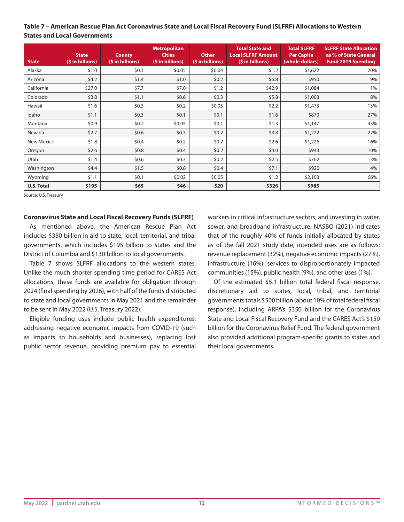### **Table 7 – American Rescue Plan Act Coronavirus State and Local Fiscal Recovery Fund (SLFRF) Allocations to Western States and Local Governments**

| <b>State</b>      | <b>State</b><br>(\$ in billions) | <b>County</b><br>(\$ in billions) | <b>Metropolitan</b><br><b>Cities</b><br>(\$ in billions) | <b>Other</b><br>(\$ in billions) | <b>Total State and</b><br><b>Local SLFRF Amount</b><br>$(sin\left(b\right))$ | <b>Total SLFRF</b><br><b>Per Capita</b><br>(whole dollars) | <b>SLFRF State Allocation</b><br>as % of State General<br><b>Fund 2019 Spending</b> |
|-------------------|----------------------------------|-----------------------------------|----------------------------------------------------------|----------------------------------|------------------------------------------------------------------------------|------------------------------------------------------------|-------------------------------------------------------------------------------------|
| Alaska            | \$1.0                            | \$0.1                             | \$0.05                                                   | \$0.04                           | \$1.2                                                                        | \$1,622                                                    | 20%                                                                                 |
| Arizona           | \$4.2                            | \$1.4                             | \$1.0                                                    | \$0.2\$                          | \$6.8\$                                                                      | \$950                                                      | 9%                                                                                  |
| California        | \$27.0                           | \$7.7                             | \$7.0                                                    | \$1.2                            | \$42.9                                                                       | \$1,084                                                    | 1%                                                                                  |
| Colorado          | \$3.8                            | \$1.1                             | \$0.6\$                                                  | \$0.3\$                          | \$5.8                                                                        | \$1,003                                                    | 8%                                                                                  |
| Hawaii            | \$1.6                            | \$0.3\$                           | \$0.2\$                                                  | \$0.05                           | \$2.2                                                                        | \$1,473                                                    | 13%                                                                                 |
| Idaho             | \$1.1                            | \$0.3\$                           | \$0.1                                                    | \$0.1                            | \$1.6                                                                        | \$870                                                      | 27%                                                                                 |
| Montana           | \$0.9                            | \$0.2\$                           | \$0.05                                                   | \$0.1                            | \$1.3                                                                        | \$1,147                                                    | 43%                                                                                 |
| Nevada            | \$2.7                            | \$0.6\$                           | \$0.3\$                                                  | \$0.2\$                          | \$3.8                                                                        | \$1,222                                                    | 22%                                                                                 |
| New Mexico        | \$1.8                            | \$0.4                             | \$0.2\$                                                  | \$0.2\$                          | \$2.6                                                                        | \$1,226                                                    | 16%                                                                                 |
| Oregon            | \$2.6                            | \$0.8\$                           | \$0.4\$                                                  | \$0.2\$                          | \$4.0                                                                        | \$943                                                      | 10%                                                                                 |
| Utah              | \$1.4                            | \$0.6\$                           | \$0.3\$                                                  | \$0.2\$                          | \$2.5                                                                        | \$762                                                      | 13%                                                                                 |
| Washington        | \$4.4                            | \$1.5                             | \$0.8\$                                                  | \$0.4\$                          | \$7.1                                                                        | \$920                                                      | 4%                                                                                  |
| Wyoming           | \$1.1                            | \$0.1                             | \$0.02                                                   | \$0.05                           | \$1.2                                                                        | \$2,103                                                    | 66%                                                                                 |
| <b>U.S. Total</b> | \$195                            | \$65                              | \$46                                                     | \$20                             | \$326                                                                        | \$985                                                      |                                                                                     |

Source: U.S. Treasury

### **Coronavirus State and Local Fiscal Recovery Funds (SLFRF)**

As mentioned above, the American Rescue Plan Act includes \$350 billion in aid to state, local, territorial, and tribal governments, which includes \$195 billion to states and the District of Columbia and \$130 billion to local governments.

Table 7 shows SLFRF allocations to the western states. Unlike the much shorter spending time period for CARES Act allocations, these funds are available for obligation through 2024 (final spending by 2026), with half of the funds distributed to state and local governments in May 2021 and the remainder to be sent in May 2022 (U.S. Treasury 2022).

Eligible funding uses include public health expenditures, addressing negative economic impacts from COVID-19 (such as impacts to households and businesses), replacing lost public sector revenue, providing premium pay to essential

workers in critical infrastructure sectors, and investing in water, sewer, and broadband infrastructure. NASBO (2021) indicates that of the roughly 40% of funds initially allocated by states as of the fall 2021 study date, intended uses are as follows: revenue replacement (32%), negative economic impacts (27%), infrastructure (16%), services to disproportionately impacted communities (15%), public health (9%), and other uses (1%).

Of the estimated \$5.1 billion total federal fiscal response, discretionary aid to states, local, tribal, and territorial governments totals \$500 billion (about 10% of total federal fiscal response), including ARPA's \$350 billion for the Coronavirus State and Local Fiscal Recovery Fund and the CARES Act's \$150 billion for the Coronavirus Relief Fund. The federal government also provided additional program-specific grants to states and their local governments.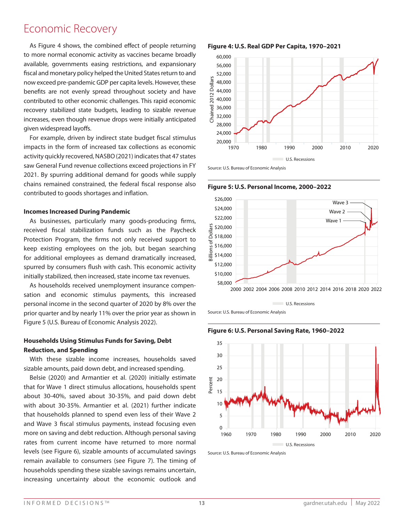# Millions of Dollars Economic Recovery

to more normal economic activity as vaccines became broadly fiscal and monetary policy helped the United States return to and 12 now exceed pre-pandemic GDP per capita levels. However, these 10 10.0 recovery stabilized state budgets, leading to sizable revenue given widespread layoffs. cc<br>re<br>in<br>ac As Figure 4 shows, the combined effect of people returning benefits are not evenly spread throughout society and have 7.5 increases, even though revenue drops were initially anticipated available, governments easing restrictions, and expansionary

 $\ddot{\phantom{0}}$ impacts in the form of increased tax collections as economic 2021. By spurring additional demand for goods while supply 500,000 contributed to goods shortages and inflation. 2.5 For example, driven by indirect state budget fiscal stimulus .<br>activity quickly recovered, NASBO (2021) indicates that 47 states saw General Fund revenue collections exceed projections in FY 1950 1960 1970 1980 1990 2000 2010 2020 chains remained constrained, the federal fiscal response also

### 120 **Incomes Increased During Pandemic**

س<br>Ir<br>re As businesses, particularly many goods-producing firms, Protection Program, the firms not only received support to for additional employees as demand dramatically increased, spurred by consumers flush with cash. This economic activity<br>initially stabilized, then increased, state income tax revenues. received fiscal stabilization funds such as the Paycheck re<br>Pi<br>fa keep existing employees on the job, but began searching

sa<br>pe<br>Fi<br>**H**e As households received unemployment insurance compenon son 7.5 8 prior quarter and by nearly 11% over the prior year as shown in 9 personal income in the second quarter of 2020 by 8% over the Figure 5 (U.S. Bureau of Economic Analysis 2022). 1970 1980 1990 2000 2010 2020 sation and economic stimulus payments, this increased

### 2.5 600,000 **Households Using Stimulus Funds for Saving, Debt**  0.0 **Reduction, and Spending**

With these sizable income increases, households saved sizable amounts, paid down debt, and increased spending.

ar<br>m<br>le about 30-40%, saved about 30-35%, and paid down debt that households planned to spend even less of their Wave 2 and Wave 3 fiscal stimulus payments, instead focusing even rates from current income have returned to more normal levels (see Figure 6), sizable amounts of accumulated savings 40 12.5 households spending these sizable savings remains uncertain, increasing uncertainty about the economic outlook and Belsie (2020) and Armantier et al. (2020) initially estimate si:<br>th<br>ak  $\frac{2}{\sqrt{2}}$ remain available to consumers (see Figure 7). The timing of more on saving and debt reduction. Although personal saving that for Wave 1 direct stimulus allocations, households spent with about 30-35%. Armantier et al. (2021) further indicate

**Figure 4: U.S. Real GDP Per Capita, 1970–2021** 5



**Source: U.S. Bureau of Economic Analysis** 





1960 1970 1980 1990 2000 2010 2020

Source: U.S. Bureau of Economic Analysis<br>

2,400





Billions of Dollars

Source: U.S. Bureau of Economic Analysis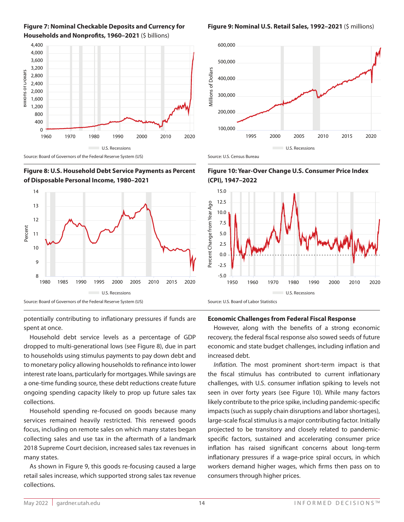



Source: Board of Governors of the Federal Reserve System (US)

**Figure 8: U.S. Household Debt Service Payments as Percent**  \$24,000 **of Disposable Personal Income, 1980–2021** \$20,000 ga.co  $\mathbf{L}$  $m$ oni



potentially contributing to inflationary pressures if funds are spent at once.

dropped to multi-generational lows (see Figure 8), due in part 가<br>dl<br>tc Household debt service levels as a percentage of GDP to households using stimulus payments to pay down debt and interest rate loans, particularly for mortgages. While savings are  $100<sub>o</sub>$ ongoing spending capacity likely to prop up future sales tax to monetary policy allowing households to refinance into lower a one-time funding source, these debt reductions create future collections.

ro<br>CC<br>m<br>re<br>CC services remained heavily restricted. This renewed goods focus, including on remote sales on which many states began collecting sales and use tax in the aftermath of a landmark 2018 Supreme Court decision, increased sales tax revenues in Household spending re-focused on goods because many many states.

5.0 As shown in Figure 9, this goods re-focusing caused a large retail sales increase, which supported strong sales tax revenue collections.

**Figure 9: Nominal U.S. Retail Sales, 1992–2021** (\$ millions)









80

# <sup>50</sup><br>Ed **Economic Challenges from Federal Fiscal Response**

However, along with the benefits of a strong economic 40 recovery, the federal fiscal response also sowed seeds of future increased debt<mark>.</mark> 1970 1980 1990 2000 2010 2020 re<br>er<br>ir economic and state budget challenges, including inflation and<br>increased debt

the fiscal stimulus has contributed to current inflationary ne<br>. seen in over forty years (see Figure 10). While many factors in<br>in<br>co Inflation. The most prominent short-term impact is that 5 challenges, with U.S. consumer inflation spiking to levels not large-scale fiscal stimulus is a major contributing factor. Initially projected to be transitory and closely related to pandemic- $\frac{3}{2}$ specific factors, sustained and accelerating consumer price 2,800 inflation has raised significant concerns about long-term inflationary pressures if a wage-price spiral occurs, in which workers demand higher wages, which firms then pass on to consumers through higher prices. 1960 1970 1980 1990 2000 2010 2020 likely contribute to the price spike, including pandemic-specific impacts (such as supply chain disruptions and labor shortages),

400

10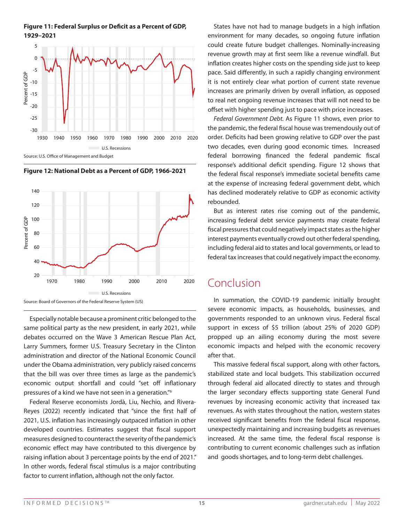

**Figure 11: Federal Surplus or Deficit as a Percent of GDP,** 

millions of Dollars of Dollars of Dollars in the Dollars of Dollars of Dollars in the Dollars of Dollars in the Dollars of Dollars in the Dollars of Dollars in the Dollars in the Dollars of Dollars in the Dollars in the Do

**Figure 12: National Debt as a Percent of GDP, 1966-2021** 12: National Debt as a Percent of GDP, 1966-2021



Especially notable because a prominent critic belonged to the same political party as the new president, in early 2021, while debates occurred on the Wave 3 American Rescue Plan Act, Larry Summers, former U.S. Treasury Secretary in the Clinton administration and director of the National Economic Council under the Obama administration, very publicly raised concerns that the bill was over three times as large as the pandemic's economic output shortfall and could "set off inflationary pressures of a kind we have not seen in a generation."6

Federal Reserve economists Jordà, Liu, Nechio, and Rivera-Reyes (2022) recently indicated that "since the first half of 2021, U.S. inflation has increasingly outpaced inflation in other developed countries. Estimates suggest that fiscal support measures designed to counteract the severity of the pandemic's economic effect may have contributed to this divergence by raising inflation about 3 percentage points by the end of 2021." In other words, federal fiscal stimulus is a major contributing factor to current inflation, although not the only factor.

States have not had to manage budgets in a high inflation 5 environment for many decades, so ongoing future inflation it is not entirely clear what portion of current state revenue increases are primarily driven by overall inflation, as opposed 3,600 to real net ongoing revenue increases that will not need to be offset with higher spending just to pace with price increases. revenue growth may at first seem like a revenue windfall. But inflation creates higher costs on the spending side just to keep could create future budget challenges. Nominally-increasing pace. Said differently, in such a rapidly changing environment

o<br>tl<br>o Federal Government Debt. As Figure 11 shows, even prior to the pandemic, the federal fiscal house was tremendously out of order. Deficits had been growing relative to GDP over the past 1,200 800 two decades, even during good economic times. Increased federal borrowing financed the federal pandemic fiscal response's additional deficit spending. Figure 12 shows that the federal fiscal response's immediate societal benefits came has declined moderately relative to GDP as economic activity rebounded. at the expense of increasing federal government debt, which

But as interest rates rise coming out of the pandemic, increasing federal debt service payments may create federal fiscal pressures that could negatively impact states as the higher interest payments eventually crowd out other federal spending, including federal aid to states and local governments, or lead to federal tax increases that could negatively impact the economy. in<br>fis<br>in

### 2000 2002 2004 2006 2008 2010 2012 2014 2016 2018 2020 2022 Conclusion

In summation, the COVID-19 pandemic initially brought severe economic impacts, as households, businesses, and governments responded to an unknown virus. Federal fiscal support in excess of \$5 trillion (about 25% of 2020 GDP) propped up an ailing economy during the most severe economic impacts and helped with the economic recovery after that.

This massive federal fiscal support, along with other factors, stabilized state and local budgets. This stabilization occurred through federal aid allocated directly to states and through the larger secondary effects supporting state General Fund revenues by increasing economic activity that increased tax revenues. As with states throughout the nation, western states received significant benefits from the federal fiscal response, unexpectedly maintaining and increasing budgets as revenues increased. At the same time, the federal fiscal response is contributing to current economic challenges such as inflation and goods shortages, and to long-term debt challenges.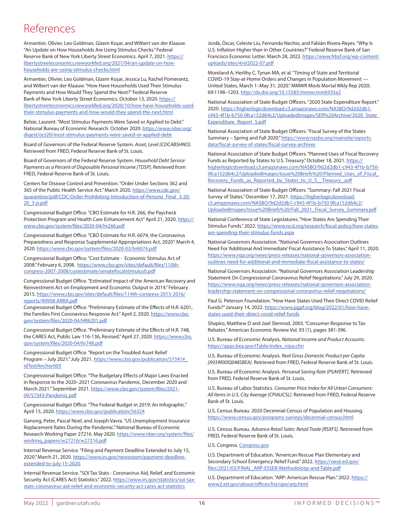## References

Armantier, Olivier, Leo Goldman, Gizem Koşar, and Wilbert van der Klaauw. "An Update on How Households Are Using Stimulus Checks." Federal Reserve Bank of New York Liberty Street Economics. April 7, 2021. https:// libertystreeteconomics.newyorkfed.org/2021/04/an-update-on-howhouseholds-are-using-stimulus-checks.html

Armantier, Olivier, Leo Goldman, Gizem Koşar, Jessica Lu, Rachel Pomerantz, and Wilbert van der Klaauw. "How Have Households Used Their Stimulus Payments and How Would They Spend the Next?" Federal Reserve Bank of New York Liberty Street Economics. October 13, 2020. https:// libertystreeteconomics.newyorkfed.org/2020/10/how-have-households-usedtheir-stimulus-payments-and-how-would-they-spend-the-next.html

Belsie, Laurent. "Most Stimulus Payments Were Saved or Applied to Debt." National Bureau of Economic Research. October 2020. https://www.nber.org/ digest/oct20/most-stimulus-payments-were-saved-or-applied-debt

Board of Governors of the Federal Reserve System. *Asset, Level [CDCABSHNO]*. Retrieved from FRED, Federal Reserve Bank of St. Louis.

Board of Governors of the Federal Reserve System. *Household Debt Service Payments as a Percent of Disposable Personal Income [TDSP]*. Retrieved from FRED, Federal Reserve Bank of St. Louis.

Centers for Disease Control and Prevention. "Order Under Sections 362 and 365 of the Public Health Service Act." March 2020. https://www.cdc.gov/ quarantine/pdf/CDC-Order-Prohibiting-Introduction-of-Persons\_Final\_3-20- 20\_3-p.pdf

Congressional Budget Office. "CBO Estimate for H.R. 266, the Paycheck Protection Program and Health Care Enhancement Act" April 21, 2020. https:// www.cbo.gov/system/files/2020-04/hr266.pdf

Congressional Budget Office. "CBO Estimate for H.R. 6074, the Coronavirus Preparedness and Response Supplemental Appropriations Act, 2020". March 4, 2020. https://www.cbo.gov/system/files/2020-03/hr6074.pdf

Congressional Budget Office. "Cost Estimate - Economic Stimulus Act of 2008." February 6, 2008. https://www.cbo.gov/sites/default/files/110thcongress-2007-2008/costestimate/senatefiscalstimulus0.pdf

Congressional Budget Office. "Estimated Impact of the American Recovery and Reinvestment Act on Employment and Economic Output in 2014." February 2015. https://www.cbo.gov/sites/default/files/114th-congress-2015-2016/ reports/49958-ARRA.pdf

Congressional Budget Office. "Preliminary Estimate of the Effects of H.R. 6201, the Families First Coronavirus Response Act." April 2, 2020. https://www.cbo. gov/system/files/2020-04/HR6201.pdf

Congressional Budget Office. "Preliminary Estimate of the Effects of H.R. 748, the CARES Act, Public Law 116-136, Revised." April 27, 2020. https://www.cbo. gov/system/files/2020-04/hr748.pdf

Congressional Budget Office. "Report on the Troubled Asset Relief Program – July 2021." July 2021. https://www.cbo.gov/publication/57341# idTextAnchor003

Congressional Budget Office. "The Budgetary Effects of Major Laws Enacted in Response to the 2020–2021 Coronavirus Pandemic, December 2020 and March 2021." September 2021. https://www.cbo.gov/system/files/2021- 09/57343-Pandemic.pdf

Congressional Budget Office. "The Federal Budget in 2019: An Infographic." April 15, 2020. https://www.cbo.gov/publication/56324

Ganong, Peter, Pascal Noel, and Joseph Vavra. "US Unemployment Insurance Replacement Rates During the Pandemic." National Bureau of Economic Research Working Paper 27216. May 2020. https://www.nber.org/system/files/ working\_papers/w27216/w27216.pdf

Internal Revenue Service. "Filing and Payment Deadline Extended to July 15, 2020." March 21, 2020. https://www.irs.gov/newsroom/payment-deadlineextended-to-july-15-2020.

Internal Revenue Service. "SOI Tax Stats - Coronavirus Aid, Relief, and Economic Security Act (CARES Act) Statistics." 2022. https://www.irs.gov/statistics/soi-taxstats-coronavirus-aid-relief-and-economic-security-act-cares-act-statistics

Jordà, Òscar, Celeste Liu, Fernanda Nechio, and Fabián Rivera-Reyes. "Why Is U.S. Inflation Higher than in Other Countries?" Federal Reserve Bank of San Francisco Economic Letter. March 28, 2022. https://www.frbsf.org/wp-content/ uploads/sites/4/el2022-07.pdf

Moreland A, Herlihy C, Tynan MA, et al. "Timing of State and Territorial COVID-19 Stay-at-Home Orders and Changes in Population Movement — United States, March 1–May 31, 2020." MMWR Morb Mortal Wkly Rep 2020; 69:1198–1203. http://dx.doi.org/10.15585/mmwr.mm6935a2

National Association of State Budget Officers. "2020 State Expenditure Report." 2020. https://higherlogicdownload.s3.amazonaws.com/NASBO/9d2d2db1 c943-4f1b-b750-0fca152d64c2/UploadedImages/SER%20Archive/2020\_State\_ Expenditure\_Report\_S.pdf

National Association of State Budget Officers. "Fiscal Survey of the States Summary – Spring and Fall 2020." https://www.nasbo.org/mainsite/reportsdata/fiscal-survey-of-states/fiscal-survey-archives

National Association of State Budget Officers. "Planned Uses of Fiscal Recovery Funds as Reported by States to U.S. Treasury." October 18, 2021. https:// higherlogicdownload.s3.amazonaws.com/NASBO/9d2d2db1-c943-4f1b-b750- 0fca152d64c2/UploadedImages/Issue%20Briefs%20/Planned\_Uses\_of\_Fiscal\_ Recovery\_Funds\_as\_Reported\_by\_States\_to\_U\_S\_\_Treasury\_.pdf

National Association of State Budget Officers. "Summary: Fall 2021 Fiscal Survey of States." December 17, 2021. https://higherlogicdownload. s3.amazonaws.com/NASBO/9d2d2db1-c943-4f1b-b750 0fca152d64c2/ UploadedImages/Issue%20Briefs%20/Fall\_2021\_Fiscal\_Survey\_Summary.pdf

National Conference of State Legislatures. "How States Are Spending Their Stimulus Funds." 2022. https://www.ncsl.org/research/fiscal-policy/how-statesare-spending-their-stimulus-funds.aspx

National Governors Association. "National Governors Association Outlines Need For 'Additional And Immediate' Fiscal Assistance To States." April 11, 2020. https://www.nga.org/news/press-releases/national-governors-associationoutlines-need-for-additional-and-immediate-fiscal-assistance-to-states/

National Governors Association. "National Governors Association Leadership Statement On Congressional Coronavirus Relief Negotiations." July 29, 2020. https://www.nga.org/news/press-releases/national-governors-associationleadership-statement-on-congressional-coronavirus-relief-negotiations/

Paul G. Peterson Foundation. "How Have States Used Their Direct COVID Relief Funds?" January 14, 2022. https://www.pgpf.org/blog/2022/01/how-havestates-used-their-direct-covid-relief-funds

Shapiro, Matthew D and Joel Slemrod, 2003. "Consumer Response to Tax Rebates." American Economic Review Vol. 93 (1), pages 381-396.

U.S. Bureau of Economic Analysis. *National Income and Product Accounts*. https://apps.bea.gov/iTable/index\_nipa.cfm

U.S. Bureau of Economic Analysis. *Real Gross Domestic Product per Capita [A939RX0Q048SBEA]*. Retrieved from FRED, Federal Reserve Bank of St. Louis.

U.S. Bureau of Economic Analysis. *Personal Saving Rate [PSAVERT].* Retrieved from FRED, Federal Reserve Bank of St. Louis.

U.S. Bureau of Labor Statistics. *Consumer Price Index for All Urban Consumers: All Items in U.S. City Average [CPIAUCSL].* Retrieved from FRED, Federal Reserve Bank of St. Louis.

U.S. Census Bureau. 2020 Decennial Census of Population and Housing. https://www.census.gov/programs-surveys/decennial-census.html

U.S. Census Bureau. *Advance Retail Sales: Retail Trade [RSXFS]*. Retrieved from FRED, Federal Reserve Bank of St. Louis.

U.S. Congress. Congress.gov

U.S. Department of Education. "American Rescue Plan Elementary and Secondary School Emergency Relief Fund." 2022. https://oese.ed.gov/ files/2021/03/FINAL\_ARP-ESSER-Methodology-and-Table.pdf

U.S. Department of Education. "ARP: American Rescue Plan." 2022. https:// www2.ed.gov/about/offices/list/ope/arp.html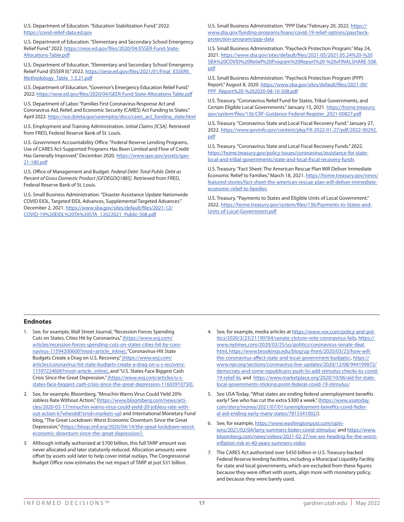U.S. Department of Education. "Education Stabilization Fund." 2022. https://covid-relief-data.ed.gov

U.S. Department of Education. "Elementary and Secondary School Emergency Relief Fund." 2022. https://oese.ed.gov/files/2020/04/ESSER-Fund-State-Allocations-Table.pdf

U.S. Department of Education. "Elementary and Secondary School Emergency Relief Fund (ESSER II)." 2022. https://oese.ed.gov/files/2021/01/Final\_ESSERII\_ Methodology\_Table\_1.5.21.pdf

U.S. Department of Education. "Governor's Emergency Education Relief Fund." 2022. https://oese.ed.gov/files/2020/04/GEER-Fund-State-Allocations-Table.pdf

U.S. Department of Labor. "Families First Coronavirus Response Act and Coronavirus Aid, Relief, and Economic Security (CARES) Act Funding to States." April 2022. https://oui.doleta.gov/unemploy/docs/cares\_act\_funding\_state.html

U.S. Employment and Training Administration. *Initial Claims [ICSA]*. Retrieved from FRED, Federal Reserve Bank of St. Louis.

U.S. Government Accountability Office. "Federal Reserve Lending Programs, Use of CARES Act-Supported Programs Has Been Limited and Flow of Credit Has Generally Improved." December 2020. https://www.gao.gov/assets/gao-21-180.pdf

U.S. Office of Management and Budget. *Federal Debt: Total Public Debt as Percent of Gross Domestic Product [GFDEGDQ188S]*. Retrieved from FRED, Federal Reserve Bank of St. Louis.

U.S. Small Business Administration. "Disaster Assistance Update Nationwide COVID EIDL, Targeted EIDL Advances, Supplemental Targeted Advances." December 2, 2021. https://www.sba.gov/sites/default/files/2021-12/ COVID-19%20EIDL%20TA%20STA\_12022021\_Public-508.pdf

U.S. Small Business Administration. "PPP Data." February 20, 2022. https:// www.sba.gov/funding-programs/loans/covid-19-relief-options/paycheckprotection-program/ppp-data

U.S. Small Business Administration. "Paycheck Protection Program." May 24, 2021. https://www.sba.gov/sites/default/files/2021-05/2021.05.24%20-%20 SBA%20COVID%20Relief%20Program%20Report%20-%20vFINALSHARE-508. pdf

U.S. Small Business Administration. "Paycheck Protection Program (PPP) Report." August 8, 2020. https://www.sba.gov/sites/default/files/2021-09/ PPP\_Report%20-%202020-08-10-508.pdf

U.S. Treasury. "Coronavirus Relief Fund for States, Tribal Governments, and Certain Eligible Local Governments." January 15, 2021. https://home.treasury. gov/system/files/136/CRF-Guidance-Federal-Register\_2021-00827.pdf

U.S. Treasury. "Coronavirus State and Local Fiscal Recovery Fund." January 27, 2022. https://www.govinfo.gov/content/pkg/FR-2022-01-27/pdf/2022-00292. pdf

U.S. Treasury. "Coronavirus State and Local Fiscal Recovery Funds." 2022. https://home.treasury.gov/policy-issues/coronavirus/assistance-for-statelocal-and-tribal-governments/state-and-local-fiscal-recovery-funds

U.S. Treasury. "Fact Sheet: The American Rescue Plan Will Deliver Immediate Economic Relief to Families." March 18, 2021. https://home.treasury.gov/news/ featured-stories/fact-sheet-the-american-rescue-plan-will-deliver-immediateeconomic-relief-to-families

U.S. Treasury. "Payments to States and Eligible Units of Local Government." 2022. https://home.treasury.gov/system/files/136/Payments-to-States-and-Units-of-Local-Government.pdf

### **Endnotes**

- 1. See, for example, Wall Street Journal, "Recession Forces Spending Cuts on States, Cities Hit by Coronavirus," (https://www.wsj.com/ articles/recession-forces-spending-cuts-on-states-cities-hit-by-coronavirus-11594200600?mod=article\_inline), "Coronavirus-Hit State Budgets Create a Drag on U.S. Recovery," (https://www.wsj.com/ articles/coronavirus-hit-state-budgets-create-a-drag-on-u-s-recovery-11597224600?mod=article\_inline), and "U.S. States Face Biggest Cash Crisis Since the Great Depression," (https://www.wsj.com/articles/u-sstates-face-biggest-cash-crisis-since-the-great-depression-11603910750).
- 2. See, for example, Bloomberg, "Mnuchin Warns Virus Could Yield 20% Jobless Rate Without Action," (https://www.bloomberg.com/news/articles/2020-03-17/mnuchin-warns-virus-could-yield-20-jobless-rate-without-action-k7wheob8?srnd=markets-vp) and International Monetary Fund blog, "The Great Lockdown: Worst Economic Downturn Since the Great Depression," (https://blogs.imf.org/2020/04/14/the-great-lockdown-worsteconomic-downturn-since-the-great-depression/)
- 3. Although initially authorized at \$700 billion, this full TARP amount was never allocated and later statutorily reduced. Allocation amounts were offset by assets sold later to help cover initial outlays. The Congressional Budget Office now estimates the net impact of TARP at just \$31 billion.
- 4. See, for example, media articles at https://www.vox.com/policy-and-politics/2020/3/23/21190764/senate-cloture-vote-coronavirus-fails, https:// www.nytimes.com/2020/03/25/us/politics/coronavirus-senate-deal. html, https://www.brookings.edu/blog/up-front/2020/03/23/how-willthe-coronavirus-affect-state-and-local-government-budgets/, https:// www.npr.org/sections/coronavirus-live-updates/2020/12/08/944199072/ democrats-and-some-republicans-push-to-add-stimulus-checks-to-covid-19-relief-bi, and https://www.marketplace.org/2020/10/06/aid-for-statelocal-governments-sticking-point-federal-covid-19-stimulus/
- 5. See USA Today, "What states are ending federal unemployment benefits early? See who has cut the extra \$300 a week." (https://www.usatoday. com/story/money/2021/07/01/unemployment-benefits-covid-federal-aid-ending-early-many-states/7815341002/).
- 6. See, for example, https://www.washingtonpost.com/opinions/2021/02/04/larry-summers-biden-covid-stimulus/ and https://www. bloomberg.com/news/videos/2021-02-27/we-are-heading-for-the-worstinflation-risk-in-40-years-summers-video
- 7. The CARES Act authorized over \$450 billion in U.S. Treasury-backed Federal Reserve lending facilities, including a Municipal Liquidity Facility for state and local governments, which are excluded from these figures because they were offset with assets, align more with monetary policy, and because they were barely used.